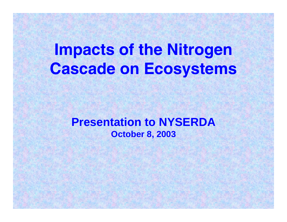## **Impacts of the Nitrogen Cascade on Ecosystems**

**Presentation to NYSERDA October 8, 2003** 

**Fletcher School, Tufts University**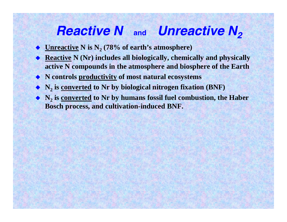## *Reactive N* **and** *Unreactive N2*

- ♦ **<u>Unreactive</u> N is N<sub>2</sub> (78% of earth's atmosphere)**
- ♦ **Reactive N (Nr) includes all biologically, chemically and physically active N compounds in the atmosphere and biosphere of the Earth**
- **N controls productivity of most natural ecosystems**
- ◆ **N<sub>2</sub>** is <u>converted</u> to Nr by biological nitrogen fixation (BNF)
- ◆ N<sub>2</sub> is <u>converted</u> to Nr by humans fossil fuel combustion, the Haber **Bosch process, and cultivation-induced BNF.**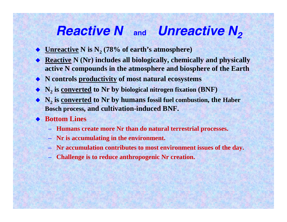## *Reactive N* **and** *Unreactive N2*

- $\bullet$  <u>Unreactive</u> N is  $N_2$  (78% of earth's atmosphere)
- ♦ **Reactive N (Nr) includes all biologically, chemically and physically active N compounds in the atmosphere and biosphere of the Earth**
- **N controls productivity of most natural ecosystems**
- ◆ **N<sub>2</sub>** is <u>converted</u> to Nr by biological nitrogen fixation (BNF)
- ◆ N<sub>2</sub> is <u>converted</u> to Nr by humans fossil fuel combustion, the Haber **Bosch process, and cultivation-induced BNF.**
- ◆ Bottom Lines
	- **Humans create more Nr than do natural terrestrial processes.**
	- **Nr is accumulating in the environment.**
	- **Nr accumulation contributes to most environment issues of the day.**
	- **Challenge is to reduce anthropogenic Nr creation.**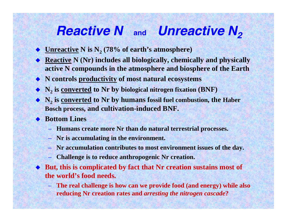## *Reactive N* **and** *Unreactive N2*

- $\bullet$  <u>Unreactive</u> N is  $N_2$  (78% of earth's atmosphere)
- ◆ **Reactive N** (Nr) includes all biologically, chemically and physically **active N compounds in the atmosphere and biosphere of the Earth**
- **N controls productivity of most natural ecosystems**
- ◆ **N<sub>2</sub>** is <u>converted</u> to Nr by biological nitrogen fixation (BNF)
- ◆ N<sub>2</sub> is <u>converted</u> to Nr by humans fossil fuel combustion, the Haber **Bosch process, and cultivation-induced BNF.**
- ◆ Bottom Lines
	- **Humans create more Nr than do natural terrestrial processes.**
	- **Nr is accumulating in the environment.**
	- **Nr accumulation contributes to most environment issues of the day.**
	- –**Challenge is to reduce anthropogenic Nr creation.**
- **But, this is complicated by fact that Nr creation sustains most of the world's food needs.** 
	- **The real challenge is how can we provide food (and energy) while also reducing Nr creation rates and** *arresting the nitrogen cascade***?**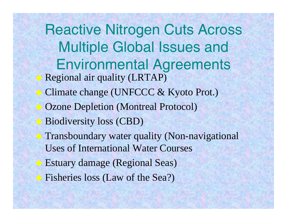Reactive Nitrogen Cuts Across Multiple Global Issues and Environmental Agreements Regional air quality (LRTAP) Climate change (UNFCCC & Kyoto Prot.) Ozone Depletion (Montreal Protocol)  $\color{red} \blacklozenge$  Biodiversity loss (CBD) Transboundary water quality (Non-navigational Uses of International Water Courses ♦ Estuary damage (Regional Seas) Fisheries loss (Law of the Sea?)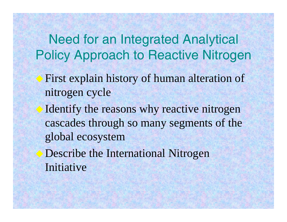Need for an Integrated Analytical Policy Approach to Reactive Nitrogen

- First explain history of human alteration of nitrogen cycle
- Identify the reasons why reactive nitrogen cascades through so many segments of the global ecosystem
- Describe the International Nitrogen Initiative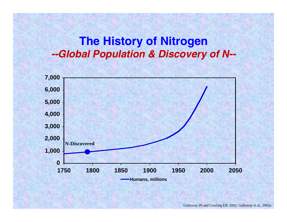#### **The History of Nitrogen** *--Global Population & Discovery of N- -*

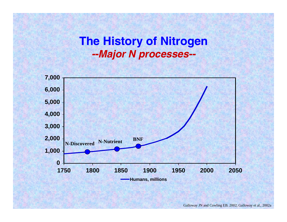#### **The History of Nitrogen**  *--Major N processes- -*



Galloway JN and Cowling EB. 2002; Galloway et al., 2002a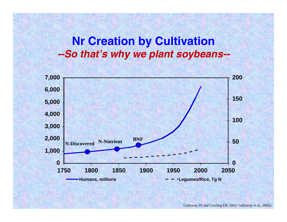#### **Nr Creation by Cultivation** *--So that's why we plant soybeans- -*



Galloway JN and Cowling EB. 2002; Galloway et al., 2002a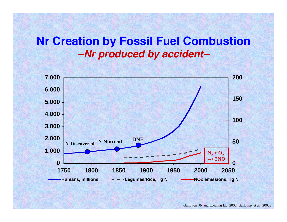#### **Nr Creation by Fossil Fuel Combustion** *--Nr produced by accident- -*

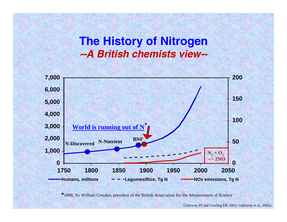### **The History of Nitrogen** *--A British chemists view- -*



**\***1898, Sir William Crookes, president of the British Association for the Advancement of Science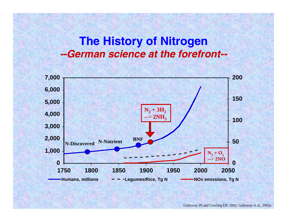### **The History of Nitrogen** *--German science at the forefront- -*

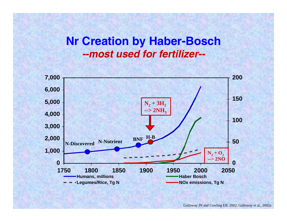### **Nr Creation by Haber-Bosch** *--most used for fertilizer- -*



Galloway JN and Cowling EB. 2002; Galloway et al., 2002a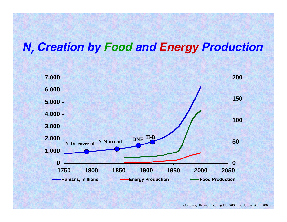### **N<sub>r</sub> Creation by Food and Energy Production**



Galloway JN and Cowling EB. 2002; Galloway et al., 2002a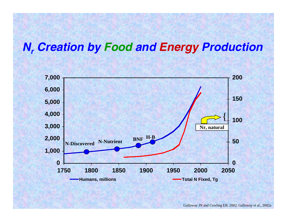### **N<sub>r</sub> Creation by Food and Energy Production**

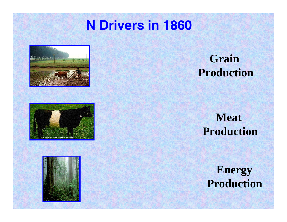## **N Drivers in 1860**







### **Grain Production**

### **Meat Production**

**Energy Production**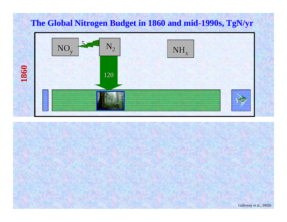

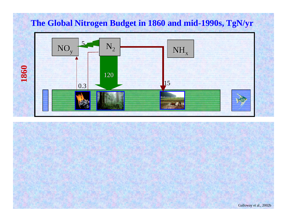

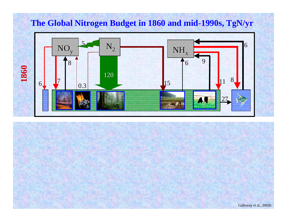

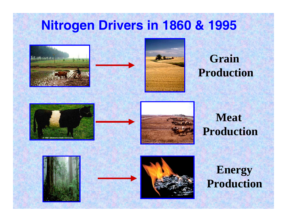## **Nitrogen Drivers in 1860 & 1995**







## **Grain Production**





### **Meat Production**







### **Energy Production**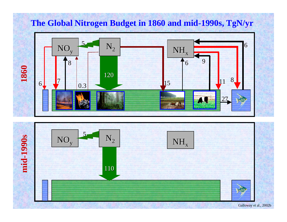

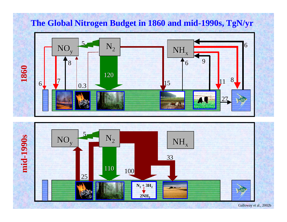

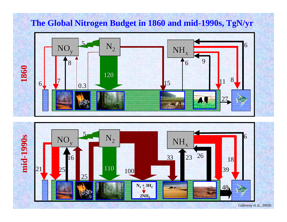

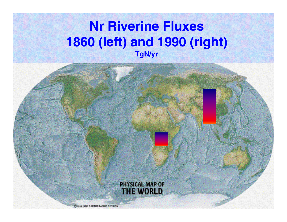## **Nr Riverine Fluxes 1860 (left) and 1990 (right) TgN/yr**

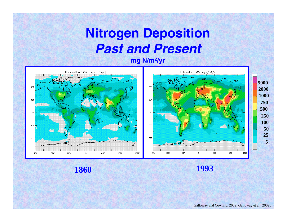## **Nitrogen Deposition**  *Past and Present*

**mg N/m2/yr** 



**1860 1993**

Galloway and Cowling, 2002; Galloway et al., 2002b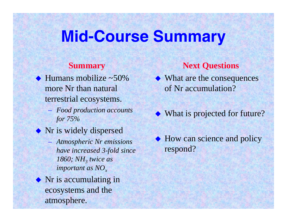## **Mid-Course Summary**

#### **Summary**

 $\triangle$  Humans mobilize ~50% more Nr than naturalterrestrial ecosystems.

- *Food production accounts for 75%*
- ◆ Nr is widely dispersed
	- *Atmospheric Nr emissions have increased 3-fold since 1860; NH<sub>3</sub> twice as important as NO<sub>x</sub>*

◆ Nr is accumulating in ecosystems and the atmosphere.

#### **Next Questions**

- ◆ What are the consequences of Nr accumulation?
- ◆ What is projected for future?
- ◆ How can science and policy respond?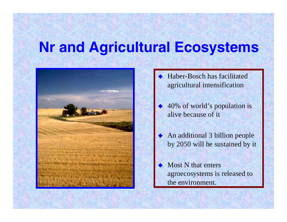## **Nr and Agricultural Ecosystems**



- ♦ Haber-Bosch has facilitated agricultural intensification
- ♦ 40% of world's population is alive because of it
- ♦ An additional 3 billion people by 2050 will be sustained by it
- ♦ Most N that enters agroecosystems is released to the environment.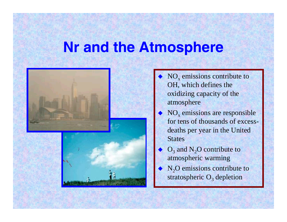## **Nr and the Atmosphere**



- ♦  $\bullet$  NO<sub>x</sub> emissions contribute to OH, which defines the oxidizing capacity of the atmosphere
- ♦  $\bullet$  NO<sub>x</sub> emissions are responsible for tens of thousands of excessdeaths per year in the United **States**
- ♦  $O_3$  and  $N_2O$  contribute to atmospheric warming
- ♦  $N_2O$  emissions contribute to stratospheric  $O_3$  depletion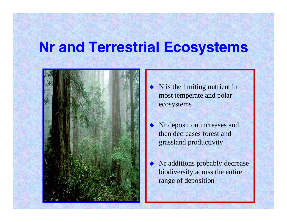## **Nr and Terrestrial Ecosystems**



- ♦ N is the limiting nutrient in most temperate and polar ecosystems
- ♦ Nr deposition increases and then decreases forest and grassland productivity
- ♦ Nr additions probably decrease biodiversity across the entire range of deposition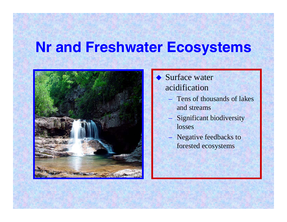## **Nr and Freshwater Ecosystems**



#### ♦ Surface water acidification

- Tens of thousands of lakes and streams
- Significant biodiversity losses
- Negative feedbacks to forested ecosystems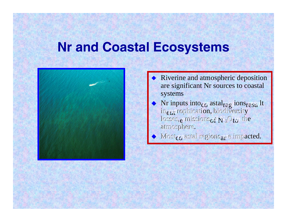## **Nr and Coastal Ecosystems**



- ♦ Riverine and atmospheric deposition are significant Nr sources to coastal systems
- ♦  $\blacklozenge$  Nr inputs into  $_{\rm CO}$  astal regions regult in eutrophication, biodiversity losses, emissions of  $N_2O$ to the atmosphere.
- Most<sub>co</sub> astal regions<sub>ar</sub> e impacted.  $\blacklozenge$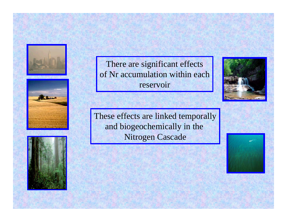





There are significant effects of Nr accumulation within each reservoir

These effects are linked temporally and biogeochemically in the Nitrogen Cascade

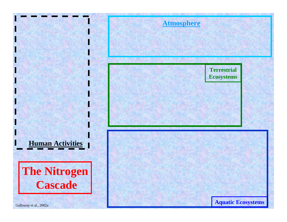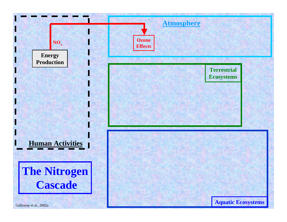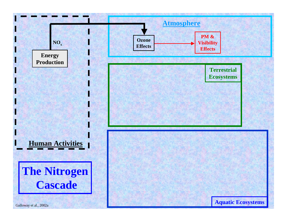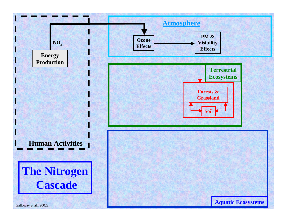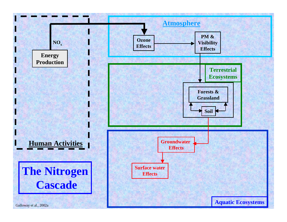![](_page_36_Figure_0.jpeg)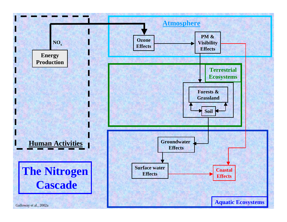![](_page_37_Figure_0.jpeg)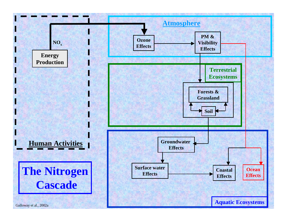![](_page_38_Figure_0.jpeg)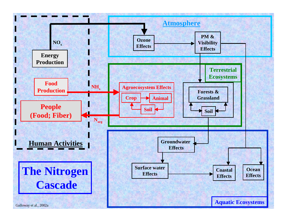![](_page_39_Figure_0.jpeg)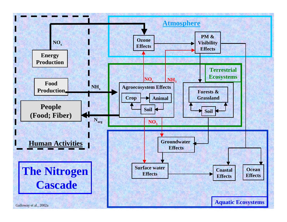![](_page_40_Figure_0.jpeg)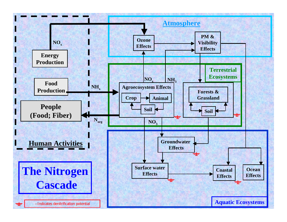![](_page_41_Figure_0.jpeg)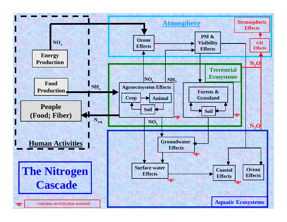![](_page_42_Figure_0.jpeg)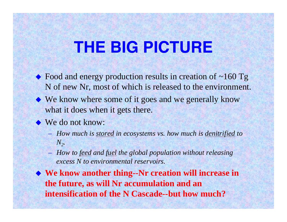## **THE BIG PICTURE**

- Food and energy production results in creation of ~160 Tg N of new Nr, most of which is released to the environment.
- ◆ We know where some of it goes and we generally know what it does when it gets there.
- ◆ We do not know:
	- *How much is stored in ecosystems vs. how much is denitrified to*   $N_{2}$ .
	- *How to feed and fuel the global population without releasing excess N to environmental reservoirs.*
- ◆ We know another thing--Nr creation will increase in **the future, as will Nr accumulation and an intensification of the N Cascade--but how much?**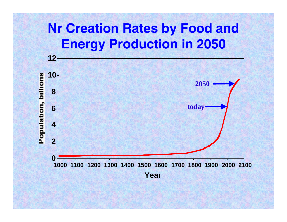![](_page_44_Figure_0.jpeg)

![](_page_44_Figure_1.jpeg)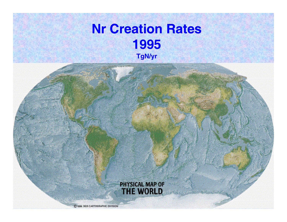## **Nr Creation Rates 1995**

![](_page_45_Picture_1.jpeg)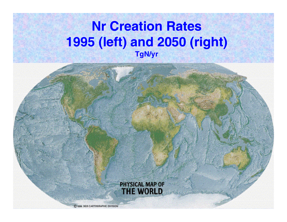## **Nr Creation Rates 1995 (left) and 2050 (right) TgN/yr**

![](_page_46_Picture_1.jpeg)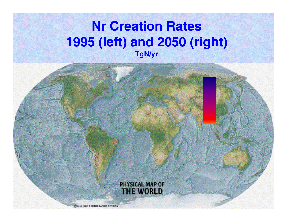## **Nr Creation Rates 1995 (left) and 2050 (right) TgN/yr**

![](_page_47_Picture_1.jpeg)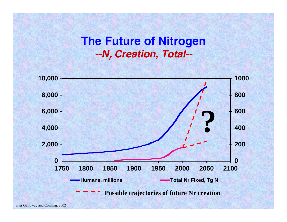### **The Future of Nitrogen**  *--Nr Creation, Total--*

![](_page_48_Figure_1.jpeg)

after Galloway and Cowling, 2002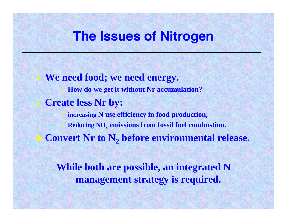### **The Issues of Nitrogen**

 **We need food; we need energy. How do we get it without Nr accumulation? Create less Nr by: increasing N use efficiency in food production, Reducing NO <sup>x</sup>emissions from fossil fuel combustion. Convert Nr to N <sup>2</sup>before environmental release.**

**While both are possible, an integrated N management strategy is required.**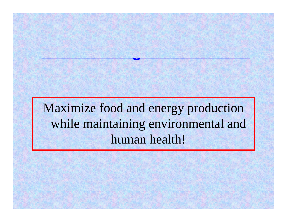## Maximize food and energy production while maintaining environmental and human health!

**The Challenge to all Parties**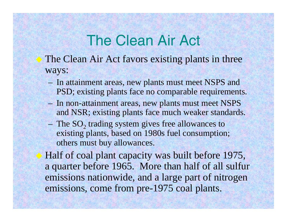## The Clean Air Act

- The Clean Air Act favors existing plants in three ways:
	- In attainment areas, new plants must meet NSPS and PSD; existing plants face no comparable requirements.
	- In non-attainment areas, new plants must meet NSPS and NSR; existing plants face much weaker standards.
	- $-$  The SO<sub>2</sub> trading system gives free allowances to existing plants, based on 1980s fuel consumption; others must buy allowances.

◆ Half of coal plant capacity was built before 1975, a quarter before 1965. More than half of all sulfur emissions nationwide, and a large part of nitrogen emissions, come from pre-1975 coal plants.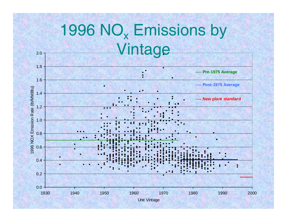# 1996 NO<sub>x</sub> Emissions by Vintage

2.0

![](_page_52_Figure_1.jpeg)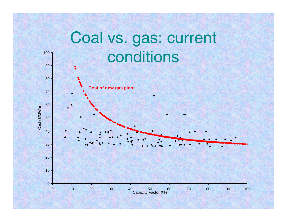![](_page_53_Figure_0.jpeg)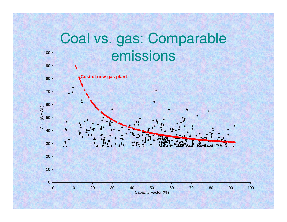![](_page_54_Figure_0.jpeg)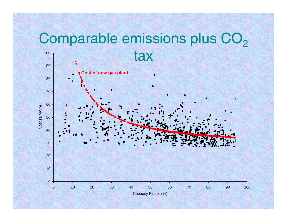# Comparable emissions plus CO<sub>2</sub>

![](_page_55_Figure_1.jpeg)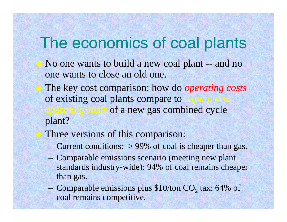## The economics of coal plants

- No one wants to build a new coal plant -- and no one wants to close an old one.
	- The key cost comparison: how do *operating costs*  of existing coal plants compare to *operating costs* of a new gas combined cycle plant?
	- Three versions of this comparison:
		- Current conditions: > 99% of coal is cheaper than gas.
		- Comparable emissions scenario (meeting new plant standards industry-wide): 94% of coal remains cheaper than gas.
		- Comparable emissions plus  $$10$ /ton CO<sub>2</sub> tax: 64% of coal remains competitive.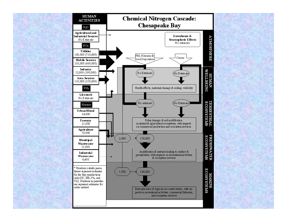![](_page_57_Figure_0.jpeg)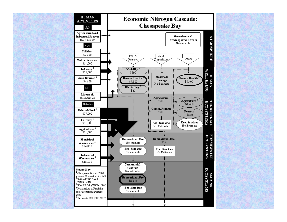![](_page_58_Figure_0.jpeg)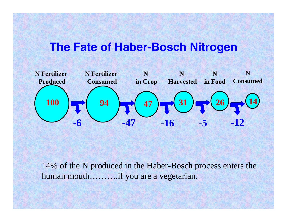### **The Fate of Haber-Bosch Nitrogen**

![](_page_59_Figure_1.jpeg)

14% of the N produced in the Haber-Bosch process enters the human mouth……….if you are a vegetarian.